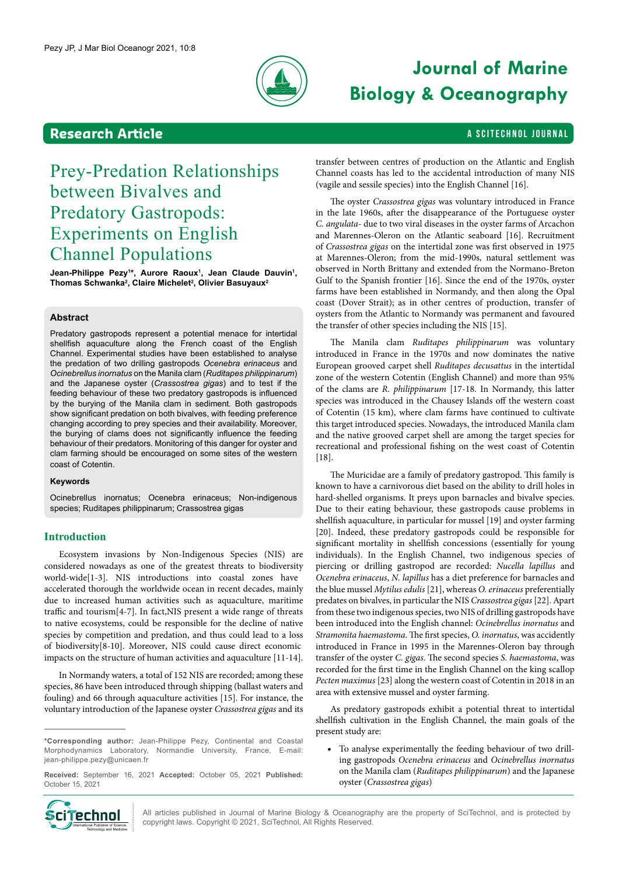

# **Journal of Marine Biology & Oceanography**

### **Research Article And Article A SCITECHNOL JOURNAL**

## Prey-Predation Relationships between Bivalves and Predatory Gastropods: Experiments on English Channel Populations

**Jean-Philippe Pezy1 \*, Aurore Raoux1 , Jean Claude Dauvin1 ,**  Thomas Schwanka<sup>2</sup>, Claire Michelet<sup>2</sup>, Olivier Basuyaux<sup>2</sup>

#### **Abstract**

Predatory gastropods represent a potential menace for intertidal shellfish aquaculture along the French coast of the English Channel. Experimental studies have been established to analyse the predation of two drilling gastropods *Ocenebra erinaceus* and *Ocinebrellus inornatus* on the Manila clam (*Ruditapes philippinarum*) and the Japanese oyster (*Crassostrea gigas*) and to test if the feeding behaviour of these two predatory gastropods is influenced by the burying of the Manila clam in sediment. Both gastropods show significant predation on both bivalves, with feeding preference changing according to prey species and their availability. Moreover, the burying of clams does not significantly influence the feeding behaviour of their predators. Monitoring of this danger for oyster and clam farming should be encouraged on some sites of the western coast of Cotentin.

#### **Keywords**

Ocinebrellus inornatus; Ocenebra erinaceus; Non-indigenous species; Ruditapes philippinarum; Crassostrea gigas

#### **Introduction**

Ecosystem invasions by Non-Indigenous Species (NIS) are considered nowadays as one of the greatest threats to biodiversity world-wide[1-3]. NIS introductions into coastal zones have accelerated thorough the worldwide ocean in recent decades, mainly due to increased human activities such as aquaculture, maritime traffic and tourism[4-7]. In fact,NIS present a wide range of threats to native ecosystems, could be responsible for the decline of native species by competition and predation, and thus could lead to a loss of biodiversity[8-10]. Moreover, NIS could cause direct economic impacts on the structure of human activities and aquaculture [11-14].

In Normandy waters, a total of 152 NIS are recorded; among these species, 86 have been introduced through shipping (ballast waters and fouling) and 66 through aquaculture activities [15]. For instance, the voluntary introduction of the Japanese oyster *Crassostrea gigas* and its

**\*Corresponding author:** Jean-Philippe Pezy, Continental and Coastal Morphodynamics Laboratory, Normandie University, France, E-mail: jean-philippe.pezy@unicaen.fr

**Received:** September 16, 2021 **Accepted:** October 05, 2021 **Published:**  October 15, 2021



All articles published in Journal of Marine Biology & Oceanography are the property of SciTechnol, and is protected by copyright laws. Copyright © 2021, SciTechnol, All Rights Reserved.

transfer between centres of production on the Atlantic and English Channel coasts has led to the accidental introduction of many NIS (vagile and sessile species) into the English Channel [16].

The oyster *Crassostrea gigas* was voluntary introduced in France in the late 1960s, after the disappearance of the Portuguese oyster *C. angulata-* due to two viral diseases in the oyster farms of Arcachon and Marennes-Oleron on the Atlantic seaboard [16]. Recruitment of *Crassostrea gigas* on the intertidal zone was first observed in 1975 at Marennes-Oleron; from the mid-1990s, natural settlement was observed in North Brittany and extended from the Normano-Breton Gulf to the Spanish frontier [16]. Since the end of the 1970s, oyster farms have been established in Normandy, and then along the Opal coast (Dover Strait); as in other centres of production, transfer of oysters from the Atlantic to Normandy was permanent and favoured the transfer of other species including the NIS [15].

The Manila clam *Ruditapes philippinarum* was voluntary introduced in France in the 1970s and now dominates the native European grooved carpet shell *Ruditapes decusattus* in the intertidal zone of the western Cotentin (English Channel) and more than 95% of the clams are *R. philippinarum* [17-18. In Normandy, this latter species was introduced in the Chausey Islands off the western coast of Cotentin (15 km), where clam farms have continued to cultivate this target introduced species. Nowadays, the introduced Manila clam and the native grooved carpet shell are among the target species for recreational and professional fishing on the west coast of Cotentin [18].

The Muricidae are a family of predatory gastropod. This family is known to have a carnivorous diet based on the ability to drill holes in hard-shelled organisms. It preys upon barnacles and bivalve species. Due to their eating behaviour, these gastropods cause problems in shellfish aquaculture, in particular for mussel [19] and oyster farming [20]. Indeed, these predatory gastropods could be responsible for significant mortality in shellfish concessions (essentially for young individuals). In the English Channel, two indigenous species of piercing or drilling gastropod are recorded: *Nucella lapillus* and *Ocenebra erinaceus*, *N. lapillus* has a diet preference for barnacles and the blue mussel *Mytilus edulis* [21], whereas *O. erinaceus* preferentially predates on bivalves, in particular the NIS *Crassostrea gigas* [22]. Apart from these two indigenous species, two NIS of drilling gastropods have been introduced into the English channel: *Ocinebrellus inornatus* and *Stramonita haemastoma*. The first species, *O. inornatus*, was accidently introduced in France in 1995 in the Marennes-Oleron bay through transfer of the oyster *C. gigas*. The second species *S. haemastoma*, was recorded for the first time in the English Channel on the king scallop *Pecten maximus* [23] along the western coast of Cotentin in 2018 in an area with extensive mussel and oyster farming.

As predatory gastropods exhibit a potential threat to intertidal shellfish cultivation in the English Channel, the main goals of the present study are:

• To analyse experimentally the feeding behaviour of two drilling gastropods *Ocenebra erinaceus* and *Ocinebrellus inornatus* on the Manila clam (*Ruditapes philippinarum*) and the Japanese oyster (*Crassostrea gigas*)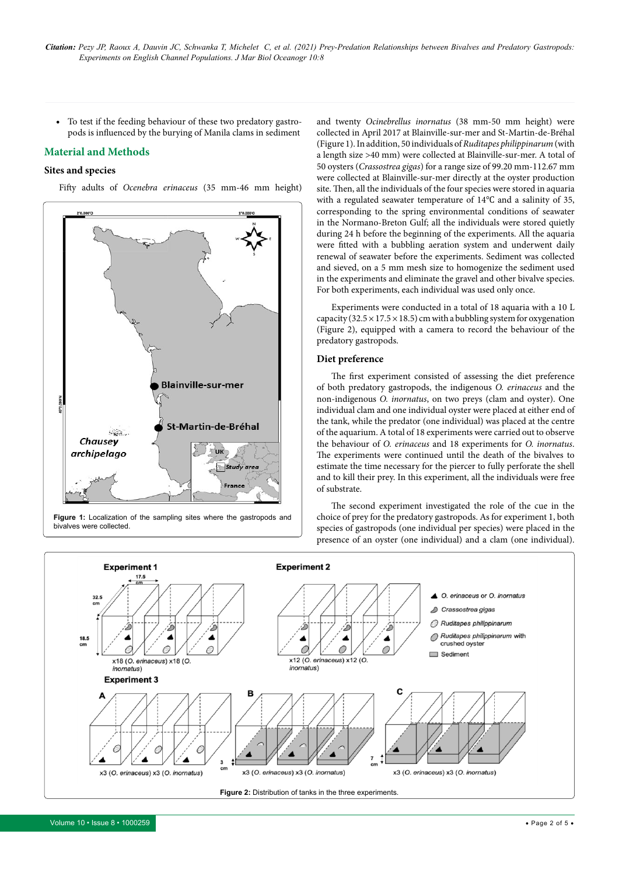• To test if the feeding behaviour of these two predatory gastropods is influenced by the burying of Manila clams in sediment

#### **Material and Methods**

#### **Sites and species**

Fifty adults of *Ocenebra erinaceus* (35 mm-46 mm height)



**Figure 1:** Localization of the sampling sites where the gastropods and bivalves were collected.

and twenty *Ocinebrellus inornatus* (38 mm-50 mm height) were collected in April 2017 at Blainville-sur-mer and St-Martin-de-Bréhal (Figure 1). In addition, 50 individuals of *Ruditapes philippinarum* (with a length size >40 mm) were collected at Blainville-sur-mer. A total of 50 oysters (*Crassostrea gigas*) for a range size of 99.20 mm-112.67 mm were collected at Blainville-sur-mer directly at the oyster production site. Then, all the individuals of the four species were stored in aquaria with a regulated seawater temperature of 14℃ and a salinity of 35, corresponding to the spring environmental conditions of seawater in the Normano-Breton Gulf; all the individuals were stored quietly during 24 h before the beginning of the experiments. All the aquaria were fitted with a bubbling aeration system and underwent daily renewal of seawater before the experiments. Sediment was collected and sieved, on a 5 mm mesh size to homogenize the sediment used in the experiments and eliminate the gravel and other bivalve species. For both experiments, each individual was used only once.

Experiments were conducted in a total of 18 aquaria with a 10 L capacity ( $32.5 \times 17.5 \times 18.5$ ) cm with a bubbling system for oxygenation (Figure 2), equipped with a camera to record the behaviour of the predatory gastropods.

#### **Diet preference**

The first experiment consisted of assessing the diet preference of both predatory gastropods, the indigenous *O. erinaceus* and the non-indigenous *O. inornatus*, on two preys (clam and oyster). One individual clam and one individual oyster were placed at either end of the tank, while the predator (one individual) was placed at the centre of the aquarium. A total of 18 experiments were carried out to observe the behaviour of *O. erinaceus* and 18 experiments for *O. inornatus*. The experiments were continued until the death of the bivalves to estimate the time necessary for the piercer to fully perforate the shell and to kill their prey. In this experiment, all the individuals were free of substrate.

The second experiment investigated the role of the cue in the choice of prey for the predatory gastropods. As for experiment 1, both species of gastropods (one individual per species) were placed in the presence of an oyster (one individual) and a clam (one individual).

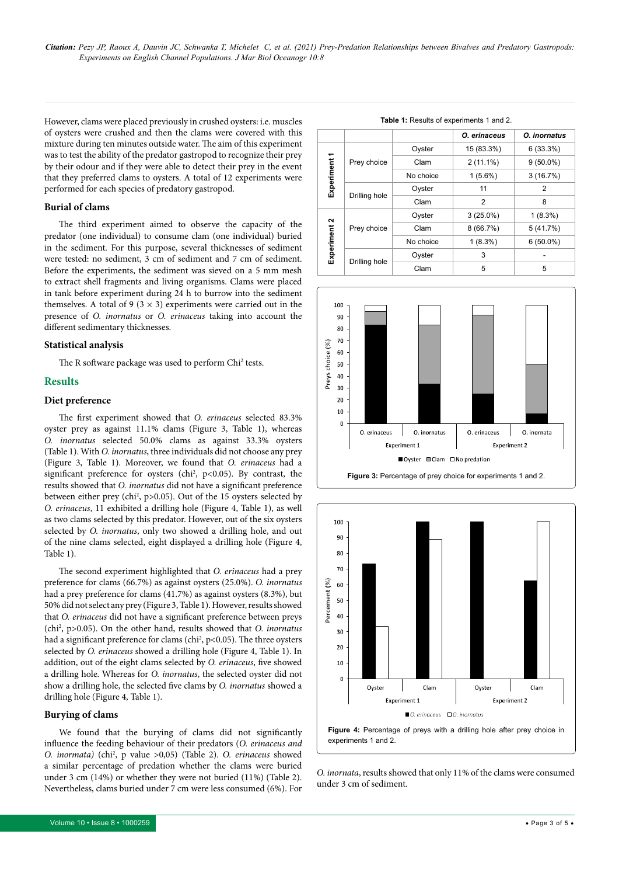*Citation: Pezy JP, Raoux A, Dauvin JC, Schwanka T, Michelet C, et al. (2021) Prey-Predation Relationships between Bivalves and Predatory Gastropods: Experiments on English Channel Populations. J Mar Biol Oceanogr 10:8*

However, clams were placed previously in crushed oysters: i.e. muscles of oysters were crushed and then the clams were covered with this mixture during ten minutes outside water. The aim of this experiment was to test the ability of the predator gastropod to recognize their prey by their odour and if they were able to detect their prey in the event that they preferred clams to oysters. A total of 12 experiments were performed for each species of predatory gastropod.

#### **Burial of clams**

The third experiment aimed to observe the capacity of the predator (one individual) to consume clam (one individual) buried in the sediment. For this purpose, several thicknesses of sediment were tested: no sediment, 3 cm of sediment and 7 cm of sediment. Before the experiments, the sediment was sieved on a 5 mm mesh to extract shell fragments and living organisms. Clams were placed in tank before experiment during 24 h to burrow into the sediment themselves. A total of 9 ( $3 \times 3$ ) experiments were carried out in the presence of *O. inornatus* or *O. erinaceus* taking into account the different sedimentary thicknesses.

#### **Statistical analysis**

The R software package was used to perform Chi<sup>2</sup> tests.

#### **Results**

#### **Diet preference**

The first experiment showed that *O. erinaceus* selected 83.3% oyster prey as against 11.1% clams (Figure 3, Table 1), whereas *O. inornatus* selected 50.0% clams as against 33.3% oysters (Table 1). With *O. inornatus*, three individuals did not choose any prey (Figure 3, Table 1). Moreover, we found that *O. erinaceus* had a significant preference for oysters (chi<sup>2</sup>,  $p$ <0.05). By contrast, the results showed that *O. inornatus* did not have a significant preference between either prey (chi<sup>2</sup>, p>0.05). Out of the 15 oysters selected by *O. erinaceus*, 11 exhibited a drilling hole (Figure 4, Table 1), as well as two clams selected by this predator. However, out of the six oysters selected by *O. inornatus*, only two showed a drilling hole, and out of the nine clams selected, eight displayed a drilling hole (Figure 4, Table 1).

The second experiment highlighted that *O. erinaceus* had a prey preference for clams (66.7%) as against oysters (25.0%). *O. inornatus* had a prey preference for clams (41.7%) as against oysters (8.3%), but 50% did not select any prey (Figure 3, Table 1). However, results showed that *O. erinaceus* did not have a significant preference between preys (chi2 , p>0.05). On the other hand, results showed that *O. inornatus* had a significant preference for clams (chi<sup>2</sup>, p<0.05). The three oysters selected by *O. erinaceus* showed a drilling hole (Figure 4, Table 1). In addition, out of the eight clams selected by *O. erinaceus*, five showed a drilling hole. Whereas for *O. inornatus*, the selected oyster did not show a drilling hole, the selected five clams by *O. inornatus* showed a drilling hole (Figure 4, Table 1).

#### **Burying of clams**

We found that the burying of clams did not significantly influence the feeding behaviour of their predators (*O. erinaceus and O. inormata)* (chi2 , p value >0,05) (Table 2). *O. erinaceus* showed a similar percentage of predation whether the clams were buried under 3 cm (14%) or whether they were not buried (11%) (Table 2). Nevertheless, clams buried under 7 cm were less consumed (6%). For

| <b>Table 1:</b> Results of experiments 1 and 2. |               |           |              |              |  |
|-------------------------------------------------|---------------|-----------|--------------|--------------|--|
|                                                 |               |           | O. erinaceus | O. inornatus |  |
| Experiment 1                                    | Prey choice   | Oyster    | 15 (83.3%)   | 6(33.3%)     |  |
|                                                 |               | Clam      | $2(11.1\%)$  | $9(50.0\%)$  |  |
|                                                 |               | No choice | $1(5.6\%)$   | 3(16.7%)     |  |
|                                                 | Drilling hole | Oyster    | 11           | 2            |  |
|                                                 |               | Clam      | 2            | 8            |  |
| Experiment 2                                    | Prey choice   | Oyster    | $3(25.0\%)$  | $1(8.3\%)$   |  |
|                                                 |               | Clam      | 8(66.7%)     | 5(41.7%)     |  |
|                                                 |               | No choice | $1(8.3\%)$   | $6(50.0\%)$  |  |
|                                                 | Drilling hole | Oyster    | 3            |              |  |
|                                                 |               | Clam      | 5            | 5            |  |





*O. inornata*, results showed that only 11% of the clams were consumed under 3 cm of sediment.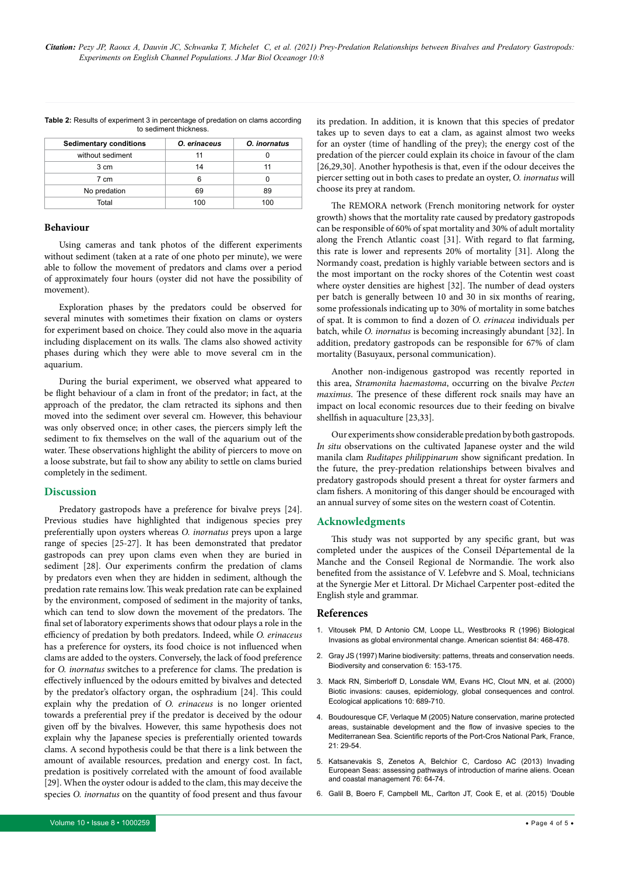| <b>Sedimentary conditions</b> | O. erinaceus | O. inornatus |
|-------------------------------|--------------|--------------|
| without sediment              | 11           |              |
| 3 cm                          | 14           | 11           |
| 7 cm                          |              |              |
| No predation                  | 69           | 89           |
| Total                         | 100          | 100          |

**Table 2:** Results of experiment 3 in percentage of predation on clams according to sediment thickness.

#### **Behaviour**

Using cameras and tank photos of the different experiments without sediment (taken at a rate of one photo per minute), we were able to follow the movement of predators and clams over a period of approximately four hours (oyster did not have the possibility of movement).

Exploration phases by the predators could be observed for several minutes with sometimes their fixation on clams or oysters for experiment based on choice. They could also move in the aquaria including displacement on its walls. The clams also showed activity phases during which they were able to move several cm in the aquarium.

During the burial experiment, we observed what appeared to be flight behaviour of a clam in front of the predator; in fact, at the approach of the predator, the clam retracted its siphons and then moved into the sediment over several cm. However, this behaviour was only observed once; in other cases, the piercers simply left the sediment to fix themselves on the wall of the aquarium out of the water. These observations highlight the ability of piercers to move on a loose substrate, but fail to show any ability to settle on clams buried completely in the sediment.

#### **Discussion**

Predatory gastropods have a preference for bivalve preys [24]. Previous studies have highlighted that indigenous species prey preferentially upon oysters whereas *O. inornatus* preys upon a large range of species [25-27]. It has been demonstrated that predator gastropods can prey upon clams even when they are buried in sediment [28]. Our experiments confirm the predation of clams by predators even when they are hidden in sediment, although the predation rate remains low. This weak predation rate can be explained by the environment, composed of sediment in the majority of tanks, which can tend to slow down the movement of the predators. The final set of laboratory experiments shows that odour plays a role in the efficiency of predation by both predators. Indeed, while *O. erinaceus* has a preference for oysters, its food choice is not influenced when clams are added to the oysters. Conversely, the lack of food preference for *O. inornatus* switches to a preference for clams. The predation is effectively influenced by the odours emitted by bivalves and detected by the predator's olfactory organ, the osphradium [24]. This could explain why the predation of *O. erinaceus* is no longer oriented towards a preferential prey if the predator is deceived by the odour given off by the bivalves. However, this same hypothesis does not explain why the Japanese species is preferentially oriented towards clams. A second hypothesis could be that there is a link between the amount of available resources, predation and energy cost. In fact, predation is positively correlated with the amount of food available [29]. When the oyster odour is added to the clam, this may deceive the species *O. inornatus* on the quantity of food present and thus favour

its predation. In addition, it is known that this species of predator takes up to seven days to eat a clam, as against almost two weeks for an oyster (time of handling of the prey); the energy cost of the predation of the piercer could explain its choice in favour of the clam [26,29,30]. Another hypothesis is that, even if the odour deceives the piercer setting out in both cases to predate an oyster, *O. inornatus* will choose its prey at random.

The REMORA network (French monitoring network for oyster growth) shows that the mortality rate caused by predatory gastropods can be responsible of 60% of spat mortality and 30% of adult mortality along the French Atlantic coast [31]. With regard to flat farming, this rate is lower and represents 20% of mortality [31]. Along the Normandy coast, predation is highly variable between sectors and is the most important on the rocky shores of the Cotentin west coast where oyster densities are highest [32]. The number of dead oysters per batch is generally between 10 and 30 in six months of rearing, some professionals indicating up to 30% of mortality in some batches of spat. It is common to find a dozen of *O. erinacea* individuals per batch, while *O. inornatus* is becoming increasingly abundant [32]. In addition, predatory gastropods can be responsible for 67% of clam mortality (Basuyaux, personal communication).

Another non-indigenous gastropod was recently reported in this area, *Stramonita haemastoma*, occurring on the bivalve *Pecten maximus*. The presence of these different rock snails may have an impact on local economic resources due to their feeding on bivalve shellfish in aquaculture [23,33].

Our experiments show considerable predation by both gastropods. *In situ* observations on the cultivated Japanese oyster and the wild manila clam *Ruditapes philippinarum* show significant predation. In the future, the prey-predation relationships between bivalves and predatory gastropods should present a threat for oyster farmers and clam fishers. A monitoring of this danger should be encouraged with an annual survey of some sites on the western coast of Cotentin.

#### **Acknowledgments**

This study was not supported by any specific grant, but was completed under the auspices of the Conseil Départemental de la Manche and the Conseil Regional de Normandie. The work also benefited from the assistance of V. Lefebvre and S. Moal, technicians at the Synergie Mer et Littoral. Dr Michael Carpenter post-edited the English style and grammar.

#### **References**

- 1. [Vitousek PM, D Antonio CM, Loope LL, Westbrooks R \(1996\) Biological](https://pubag.nal.usda.gov/catalog/61)  [Invasions as global environmental change. American scientist 84: 468-478.](https://pubag.nal.usda.gov/catalog/61)
- 2. [Gray JS \(1997\) Marine biodiversity: patterns, threats and conservation needs.](https://link.springer.com/article/10.1023/A:1018335901847)  [Biodiversity and conservation 6: 153-175.](https://link.springer.com/article/10.1023/A:1018335901847)
- 3. [Mack RN, Simberloff D, Lonsdale WM, Evans HC, Clout MN, et al. \(2000\)](https://doi.org/10.1890/1051-0761(2000)010%5b0689:BICEGC%5d2.0.CO;2)  [Biotic invasions: causes, epidemiology, global consequences and control.](https://doi.org/10.1890/1051-0761(2000)010%5b0689:BICEGC%5d2.0.CO;2)  [Ecological applications 10: 689-710.](https://doi.org/10.1890/1051-0761(2000)010%5b0689:BICEGC%5d2.0.CO;2)
- 4. [Boudouresque CF, Verlaque M \(2005\) Nature conservation, marine protected](https://people.mio.osupytheas.fr/~boudouresque/Publications_pdf/Boudouresque_Verlaque_2005_Sustainable_development_SRPCNP.pdf)  [areas, sustainable development and the flow of invasive species to the](https://people.mio.osupytheas.fr/~boudouresque/Publications_pdf/Boudouresque_Verlaque_2005_Sustainable_development_SRPCNP.pdf)  [Mediterranean Sea. Scientific reports of the Port-Cros National Park, France,](https://people.mio.osupytheas.fr/~boudouresque/Publications_pdf/Boudouresque_Verlaque_2005_Sustainable_development_SRPCNP.pdf)   $21: 29 - 54$
- 5. [Katsanevakis S, Zenetos A, Belchior C, Cardoso AC \(2013\) Invading](https://doi.org/10.1016/j.ocecoaman.2013.02.024)  [European Seas: assessing pathways of introduction of marine aliens. Ocean](https://doi.org/10.1016/j.ocecoaman.2013.02.024)  [and coastal management 76: 64-74.](https://doi.org/10.1016/j.ocecoaman.2013.02.024)
- 6. [Galil B, Boero F, Campbell ML, Carlton JT, Cook E, et al. \(2015\) 'Double](https://link.springer.com/article/10.1007%2Fs10530-014-0778-y)